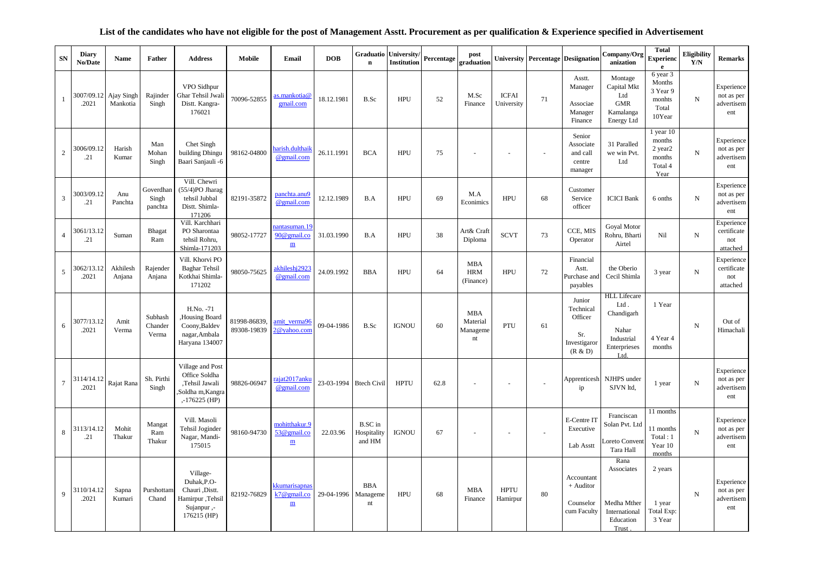## **List of the candidates who have not eligible for the post of Management Asstt. Procurement as per qualification & Experience specified in Advertisement**

| SN                      | <b>Diary</b><br>No/Date | Name                   | Father                        | <b>Address</b>                                                                              | <b>Mobile</b>               | Email                                                       | <b>DOB</b>             | Graduatio<br>$\mathbf n$                | University/<br>Institution | Percentage | post<br>graduation                                             |                            |        | <b>University Percentage Desiignation</b>                        | Company/Org<br>anization                                                                 | <b>Total</b><br><b>Experienc</b><br>$\mathbf{e}$                            | <b>Eligibility</b><br>Y/N | <b>Remarks</b>                                |
|-------------------------|-------------------------|------------------------|-------------------------------|---------------------------------------------------------------------------------------------|-----------------------------|-------------------------------------------------------------|------------------------|-----------------------------------------|----------------------------|------------|----------------------------------------------------------------|----------------------------|--------|------------------------------------------------------------------|------------------------------------------------------------------------------------------|-----------------------------------------------------------------------------|---------------------------|-----------------------------------------------|
| -1                      | 3007/09.12<br>.2021     | Ajay Singh<br>Mankotia | Rajinder<br>Singh             | VPO Sidhpur<br>Ghar Tehsil Jwali<br>Distt. Kangra-<br>176021                                | 70096-52855                 | as.mankotia@<br>gmail.com                                   | 18.12.1981             | B.Sc                                    | <b>HPU</b>                 | 52         | M.Sc<br>Finance                                                | <b>ICFAI</b><br>University | 71     | Asstt.<br>Manager<br>Associae<br>Manager<br>Finance              | Montage<br>Capital Mkt<br>Ltd<br><b>GMR</b><br>Kamalanga<br>Energy Ltd                   | 6 year 3<br>Months<br>3 Year 9<br>monhts<br>Total<br>10Year                 | N                         | Experience<br>not as per<br>advertisem<br>ent |
| $\overline{c}$          | 3006/09.12<br>.21       | Harish<br>Kumar        | Man<br>Mohan<br>Singh         | Chet Singh<br>building Dhingu<br>Baari Sanjauli -6                                          | 98162-04800                 | harish.dulthaik<br>@gmail.com                               | 26.11.1991             | <b>BCA</b>                              | <b>HPU</b>                 | 75         |                                                                |                            | $\sim$ | Senior<br>Associate<br>and call<br>centre<br>manager             | 31 Paralled<br>we win Pvt.<br>Ltd                                                        | $1$ year $10$<br>months<br>2 year <sub>2</sub><br>months<br>Total 4<br>Year | ${\bf N}$                 | Experience<br>not as per<br>advertisem<br>ent |
| $\overline{\mathbf{3}}$ | 3003/09.12<br>.21       | Anu<br>Panchta         | Goverdhan<br>Singh<br>panchta | Vill. Chewri<br>(55/4)PO Jharag<br>tehsil Jubbal<br>Distt. Shimla-<br>171206                | 82191-35872                 | panchta.anu9<br>@gmail.com                                  | 12.12.1989             | B.A                                     | <b>HPU</b>                 | 69         | M.A<br>Econimics                                               | <b>HPU</b>                 | 68     | Customer<br>Service<br>officer                                   | <b>ICICI</b> Bank                                                                        | 6 onths                                                                     | ${\rm N}$                 | Experience<br>not as per<br>advertisem<br>ent |
| $\overline{4}$          | 3061/13.12<br>.21       | Suman                  | Bhagat<br>Ram                 | Vill. Karchhari<br>PO Sharontaa<br>tehsil Rohru,<br>Shimla-171203                           | 98052-17727                 | nantasuman. 19<br>90@gmail.co<br>$\underline{\textbf{m}}$   | 31.03.1990             | B.A                                     | <b>HPU</b>                 | 38         | Art& Craft<br>Diploma                                          | <b>SCVT</b>                | 73     | CCE, MIS<br>Operator                                             | Goyal Motor<br>Rohru, Bharti<br>Airtel                                                   | Nil                                                                         | ${\bf N}$                 | Experience<br>certificate<br>not<br>attached  |
| 5                       | 3062/13.12<br>.2021     | Akhilesh<br>Anjana     | Rajender<br>Anjana            | Vill. Khorvi PO<br><b>Baghar Tehsil</b><br>Kotkhai Shimla-<br>171202                        | 98050-75625                 | akhileshj2923<br>@gmail.com                                 | 24.09.1992             | <b>BBA</b>                              | <b>HPU</b>                 | 64         | <b>MBA</b><br><b>HRM</b><br>(Finance)                          | <b>HPU</b>                 | 72     | Financial<br>Astt.<br>Purchase and<br>payables                   | the Oberio<br>Cecil Shimla                                                               | 3 year                                                                      | ${\rm N}$                 | Experience<br>certificate<br>not<br>attached  |
| $\sqrt{6}$              | 3077/13.12<br>.2021     | Amit<br>Verma          | Subhash<br>Chander<br>Verma   | H.No. -71<br>,Housing Board<br>Coony, Baldev<br>nagar, Ambala<br>Haryana 134007             | 81998-86839.<br>89308-19839 | amit_verma96<br>2@yahoo.com                                 | 09-04-1986             | B.Sc                                    | <b>IGNOU</b>               | 60         | <b>MBA</b><br>Material<br>Manageme<br>$\mathop{\hbox{\rm nt}}$ | PTU                        | 61     | Junior<br>Technical<br>Officer<br>Sr.<br>Investigaror<br>(R & D) | <b>HLL</b> Lifecare<br>Ltd.<br>Chandigarh<br>Nahar<br>Industrial<br>Enterprieses<br>Ltd. | 1 Year<br>4 Year 4<br>months                                                | $\mathbf N$               | Out of<br>Himachali                           |
| $\boldsymbol{7}$        | 3114/14.12<br>.2021     | Rajat Rana             | Sh. Pirthi<br>Singh           | Village and Post<br>Office Soldha<br>,Tehsil Jawali<br>Soldha m, Kangra<br>$, -176225$ (HP) | 98826-06947                 | rajat2017anku<br>@gmail.com                                 | 23-03-1994 Btech Civil |                                         | <b>HPTU</b>                | 62.8       |                                                                |                            |        | Apprenticesh<br>ip                                               | NJHPS under<br>SJVN ltd,                                                                 | 1 year                                                                      | N                         | Experience<br>not as per<br>advertisem<br>ent |
| $\,8\,$                 | 3113/14.12<br>.21       | Mohit<br>Thakur        | Mangat<br>Ram<br>Thakur       | Vill. Masoli<br>Tehsil Joginder<br>Nagar, Mandi-<br>175015                                  | 98160-94730                 | mohitthakur.9<br>53@gmail.co<br>$\underline{\textbf{m}}$    | 22.03.96               | <b>B.SC</b> in<br>Hospitality<br>and HM | <b>IGNOU</b>               | 67         |                                                                | $\sim$                     | $\sim$ | E-Centre IT<br>Executive<br>Lab Asstt                            | Franciscan<br>Solan Pvt. Ltd<br>Loreto Conven<br>Tara Hall                               | 11 months<br>11 months<br>Total: 1<br>Year 10<br>months                     | ${\rm N}$                 | Experience<br>not as per<br>advertisem<br>ent |
| 9                       | 3110/14.12<br>.2021     | Sapna<br>Kumari        | Purshottam<br>Chand           | Village-<br>Duhak, P.O-<br>Chauri , Distt.<br>Hamirpur, Tehsil<br>Sujanpur,-<br>176215 (HP) | 82192-76829                 | kkumarisapnas<br>$k7@$ gmail.co<br>$\underline{\textbf{m}}$ | 29-04-1996             | <b>BBA</b><br>Manageme<br>nt            | <b>HPU</b>                 | 68         | <b>MBA</b><br>Finance                                          | <b>HPTU</b><br>Hamirpur    | 80     | Accountant<br>+ Auditor<br>Counselor<br>cum Faculty              | Rana<br>Associates<br>Medha Mther<br>International<br>Education<br>Trust                 | 2 years<br>1 year<br>Total Exp:<br>3 Year                                   | $\mathbf N$               | Experience<br>not as per<br>advertisem<br>ent |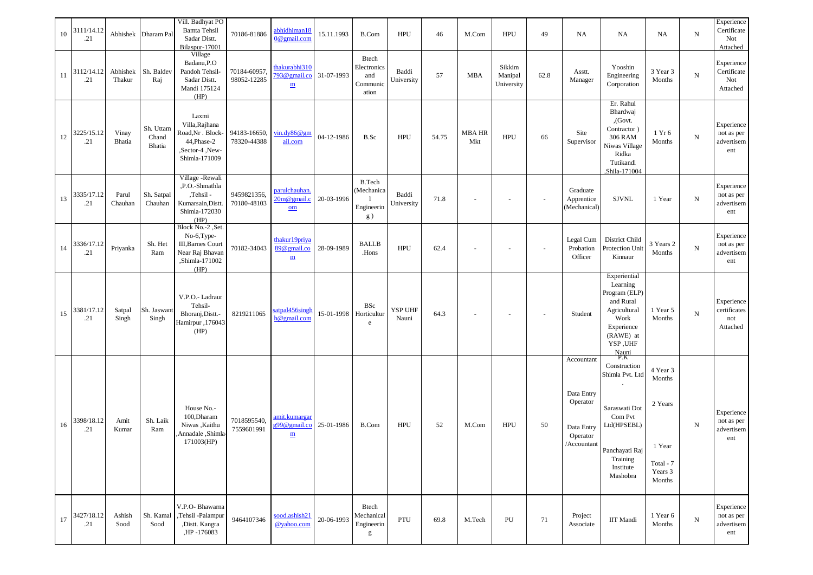| 10 | 3111/14.12<br>.21 |                    | Abhishek Dharam Pal          | Vill. Badhyat PO<br>Bamta Tehsil<br>Sadar Distt.<br>Bilaspur-17001                                        | 70186-81886                 | abhidhiman18<br>0@gmail.com                                          | 15.11.1993 | B.Com                                            | <b>HPU</b>          | 46    | M.Com                    | <b>HPU</b>                      | 49     | <b>NA</b>                                                                     | <b>NA</b>                                                                                                                             | <b>NA</b>                                                                 | ${\bf N}$ | Experience<br>Certificate<br>Not<br>Attached                  |
|----|-------------------|--------------------|------------------------------|-----------------------------------------------------------------------------------------------------------|-----------------------------|----------------------------------------------------------------------|------------|--------------------------------------------------|---------------------|-------|--------------------------|---------------------------------|--------|-------------------------------------------------------------------------------|---------------------------------------------------------------------------------------------------------------------------------------|---------------------------------------------------------------------------|-----------|---------------------------------------------------------------|
| 11 | 3112/14.12<br>.21 | Abhishek<br>Thakur | Sh. Baldev<br>Raj            | Village<br>Badanu, P.O<br>Pandoh Tehsil-<br>Sadar Distt.<br>Mandi 175124<br>(HP)                          | 70184-60957.<br>98052-12285 | thakurabhi310<br>793@gmail.co 31-07-1993<br>$\underline{\textbf{m}}$ |            | Btech<br>Electronics<br>and<br>Communic<br>ation | Baddi<br>University | 57    | <b>MBA</b>               | Sikkim<br>Manipal<br>University | 62.8   | Asstt.<br>Manager                                                             | Yooshin<br>Engineering<br>Corporation                                                                                                 | 3 Year 3<br>Months                                                        | ${\bf N}$ | Experience<br>$\operatorname{Certificate}$<br>Not<br>Attached |
| 12 | 3225/15.12<br>.21 | Vinay<br>Bhatia    | Sh. Uttam<br>Chand<br>Bhatia | Laxmi<br>Villa, Rajhana<br>Road, Nr. Block-<br>44, Phase-2<br>,Sector-4,New-<br>Shimla-171009             | 94183-16650,<br>78320-44388 | vin.dy86@gm<br>ail.com                                               | 04-12-1986 | B.Sc                                             | <b>HPU</b>          | 54.75 | <b>MBA HR</b><br>Mkt     | <b>HPU</b>                      | 66     | Site<br>Supervisor                                                            | Er. Rahul<br>Bhardwaj<br>,(Govt.<br>Contractor)<br><b>306 RAM</b><br>Niwas Village<br>Ridka<br>Tutikandi<br>Shila-171004              | 1 Yr 6<br>Months                                                          | ${\bf N}$ | Experience<br>not as per<br>advertisem<br>ent                 |
| 13 | 3335/17.12<br>.21 | Parul<br>Chauhan   | Sh. Satpal<br>Chauhan        | Village -Rewali<br>,P.O.-Shmathla<br>,Tehsil -<br>Kumarsain, Distt.<br>Shimla-172030<br>(HP)              | 9459821356,<br>70180-48103  | parulchauhan.<br>$20m@$ gmail.c<br>$om$                              | 20-03-1996 | <b>B.Tech</b><br>(Mechanica<br>Engineerin<br>g)  | Baddi<br>University | 71.8  |                          |                                 |        | Graduate<br>Apprentice<br>(Mechanical)                                        | <b>SJVNL</b>                                                                                                                          | 1 Year                                                                    | ${\bf N}$ | Experience<br>not as per<br>advertisem<br>ent                 |
| 14 | 3336/17.12<br>.21 | Priyanka           | Sh. Het<br>Ram               | Block No.-2, Set.<br>No-6, Type-<br><b>III, Barnes Court</b><br>Near Raj Bhavan<br>,Shimla-171002<br>(HP) | 70182-34043                 | thakur19priya<br>89@gmail.co<br>$\underline{\textbf{m}}$             | 28-09-1989 | <b>BALLB</b><br>.Hons                            | <b>HPU</b>          | 62.4  |                          |                                 |        | Legal Cum<br>Probation<br>Officer                                             | District Child<br>Protection Unit<br>Kinnaur                                                                                          | 3 Years 2<br>Months                                                       | ${\bf N}$ | Experience<br>not as per<br>advertisem<br>ent                 |
| 15 | 3381/17.12<br>.21 | Satpal<br>Singh    | Sh. Jaswant<br>Singh         | V.P.O.- Ladraur<br>Tehsil-<br>Bhoranj, Distt.-<br>Hamirpur , 176043<br>(HP)                               | 8219211065                  | atpal456singh<br>h@gmail.com                                         | 15-01-1998 | <b>BSc</b><br>Horticultur<br>$\rm e$             | YSP UHF<br>Nauni    | 64.3  | $\overline{\phantom{a}}$ | $\overline{\phantom{a}}$        | $\sim$ | Student                                                                       | Experiential<br>Learning<br>Program (ELP)<br>and Rural<br>Agricultural<br>Work<br>Experience<br>(RAWE) at<br>YSP, UHF<br>Nauni<br>P.K | 1 Year 5<br>Months                                                        | ${\bf N}$ | Experience<br>certificates<br>not<br>Attached                 |
| 16 | 3398/18.12<br>.21 | Amit<br>Kumar      | Sh. Laik<br>Ram              | House No.-<br>100, Dharam<br>Niwas , Kaithu<br>Annadale, Shimla<br>171003(HP)                             | 7018595540,<br>7559601991   | amit.kumargar<br>g99@gmail.co<br>$\underline{\textbf{m}}$            | 25-01-1986 | B.Com                                            | <b>HPU</b>          | 52    | M.Com                    | <b>HPU</b>                      | 50     | Accountant<br>Data Entry<br>Operator<br>Data Entry<br>Operator<br>/Accountant | Construction<br>Shimla Pvt. Ltd<br>Saraswati Dot<br>Com Pvt<br>Ltd(HPSEBL)<br>Panchayati Raj<br>Training<br>Institute<br>Mashobra     | 4 Year 3<br>Months<br>2 Years<br>1 Year<br>Total - 7<br>Years 3<br>Months | ${\rm N}$ | Experience<br>not as per<br>advertisem<br>ent                 |
| 17 | 3427/18.12<br>.21 | Ashish<br>Sood     | Sh. Kamal<br>Sood            | V.P.O- Bhawarna<br>,Tehsil -Palampur<br>,Distt. Kangra<br>,HP-176083                                      | 9464107346                  | sood.ashish21<br>@yahoo.com                                          | 20-06-1993 | <b>Btech</b><br>Mechanical<br>Engineerin<br>g    | PTU                 | 69.8  | M.Tech                   | PU                              | 71     | Project<br>Associate                                                          | <b>IIT Mandi</b>                                                                                                                      | 1 Year 6<br>Months                                                        | ${\bf N}$ | Experience<br>not as per<br>advertisem<br>ent                 |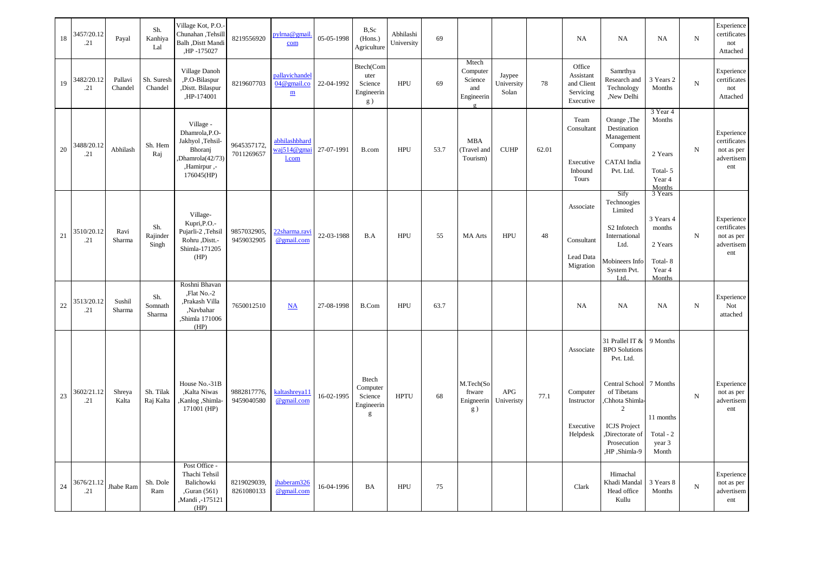| 18 | 3457/20.12<br>.21 | Payal              | Sh.<br>Kanhiya<br>Lal    | Village Kot, P.O.<br>Chunahan, Tehsill<br>Balh , Distt Mandi<br>,HP-175027                                 | 8219556920                | oylma@gmail.<br>com                                          | 05-05-1998 | B,Sc<br>(Hons.)<br>Agriculture                         | Abhilashi<br>University | 69   |                                                               |                               |       | NA                                                           | NA                                                                                                                                                                                    | <b>NA</b>                                                                | $_{\rm N}$     | Experience<br>certificates<br>not<br>Attached                 |
|----|-------------------|--------------------|--------------------------|------------------------------------------------------------------------------------------------------------|---------------------------|--------------------------------------------------------------|------------|--------------------------------------------------------|-------------------------|------|---------------------------------------------------------------|-------------------------------|-------|--------------------------------------------------------------|---------------------------------------------------------------------------------------------------------------------------------------------------------------------------------------|--------------------------------------------------------------------------|----------------|---------------------------------------------------------------|
| 19 | 3482/20.12<br>.21 | Pallavi<br>Chandel | Sh. Suresh<br>Chandel    | Village Danoh<br>,P.O-Bilaspur<br>,Distt. Bilaspur<br>,HP-174001                                           | 8219607703                | pallavichandel<br>$04@$ gmail.co<br>$\underline{\textbf{m}}$ | 22-04-1992 | Btech(Com<br>uter<br>Science<br>Engineerin<br>g)       | <b>HPU</b>              | 69   | Mtech<br>Computer<br>Science<br>and<br>Engineerin<br>$\sigma$ | Jaypee<br>University<br>Solan | 78    | Office<br>Assistant<br>and Client<br>Servicing<br>Executive  | Samrthya<br>Research and<br>Technology<br>,New Delhi                                                                                                                                  | 3 Years 2<br>Months                                                      | ${\bf N}$      | Experience<br>certificates<br>not<br>Attached                 |
| 20 | 3488/20.12<br>.21 | Abhilash           | Sh. Hem<br>Raj           | Village -<br>Dhamrola, P.O-<br>Jakhyol ,Tehsil-<br>Bhoranj<br>Dhamrola(42/73)<br>,Hamirpur,-<br>176045(HP) | 9645357172,<br>7011269657 | abhilashbhard<br>waj514@gmai<br>$1$ .com                     | 27-07-1991 | B.com                                                  | <b>HPU</b>              | 53.7 | <b>MBA</b><br>(Travel and<br>Tourism)                         | <b>CUHP</b>                   | 62.01 | Team<br>Consultant<br>Executive<br>Inbound<br>Tours          | Orange, The<br>Destination<br>Management<br>Company<br><b>CATAI</b> India<br>Pvt. Ltd.                                                                                                | 3 Year 4<br>Months<br>2 Years<br>Total-5<br>Year 4<br>Months             | ${\bf N}$      | Experience<br>certificates<br>not as per<br>advertisem<br>ent |
| 21 | 3510/20.12<br>.21 | Ravi<br>Sharma     | Sh.<br>Rajinder<br>Singh | Village-<br>Kupri, P.O.-<br>Pujarli-2, Tehsil<br>Rohru ,Distt.-<br>Shimla-171205<br>(HP)                   | 9857032905,<br>9459032905 | 22sharma.ravi<br>@gmail.com                                  | 22-03-1988 | B.A                                                    | <b>HPU</b>              | 55   | <b>MA</b> Arts                                                | <b>HPU</b>                    | 48    | Associate<br>Consultant<br>Lead Data<br>Migration            | Sify<br>Technoogies<br>Limited<br>S2 Infotech<br>International<br>Ltd.<br>Aobineers Info<br>System Pvt.<br>Itd                                                                        | 3 Years<br>3 Years 4<br>months<br>2 Years<br>Total-8<br>Year 4<br>Months | ${\bf N}$      | Experience<br>certificates<br>not as per<br>advertisem<br>ent |
| 22 | 3513/20.12<br>.21 | Sushil<br>Sharma   | Sh.<br>Somnath<br>Sharma | Roshni Bhavan<br>,Flat No.-2<br>,Prakash Villa<br>,Navbahar<br>,Shimla 171006<br>(HP)                      | 7650012510                | $\underline{\mathbf{NA}}$                                    | 27-08-1998 | B.Com                                                  | HPU                     | 63.7 |                                                               |                               |       | NA                                                           | NA                                                                                                                                                                                    | <b>NA</b>                                                                | ${\bf N}$      | Experience<br>Not<br>attached                                 |
| 23 | 3602/21.12<br>.21 | Shreya<br>Kalta    | Sh. Tilak<br>Raj Kalta   | House No.-31B<br>,Kalta Niwas<br>Kanlog ,Shimla-<br>171001 (HP)                                            | 9882817776,<br>9459040580 | kaltashreya11<br>@gmail.com                                  | 16-02-1995 | <b>Btech</b><br>Computer<br>Science<br>Engineerin<br>g | <b>HPTU</b>             | 68   | M.Tech(So<br>ftware<br>Enigneerin<br>g)                       | APG<br>Univeristy             | 77.1  | Associate<br>Computer<br>Instructor<br>Executive<br>Helpdesk | 31 Prallel IT &<br><b>BPO</b> Solutions<br>Pvt. Ltd.<br>Central School<br>of Tibetans<br>Chhota Shimla-<br>2<br><b>ICJS</b> Project<br>Directorate of<br>Prosecution<br>,HP ,Shimla-9 | 9 Months<br>7 Months<br>11 months<br>Total - 2<br>year 3<br>Month        | $\overline{N}$ | Experience<br>not as per<br>advertisem<br>ent                 |
| 24 | 3676/21.12<br>.21 | Jhabe Ram          | Sh. Dole<br>Ram          | Post Office -<br>Thachi Tehsil<br>Balichowki<br>Guran (561)<br>,Mandi,-175121<br>(HP)                      | 8219029039,<br>8261080133 | jhaberam326<br>@gmail.com                                    | 16-04-1996 | BA                                                     | <b>HPU</b>              | 75   |                                                               |                               |       | Clark                                                        | Himachal<br>Khadi Mandal<br>Head office<br>Kullu                                                                                                                                      | 3 Years 8<br>Months                                                      | ${\bf N}$      | Experience<br>not as per<br>advertisem<br>ent                 |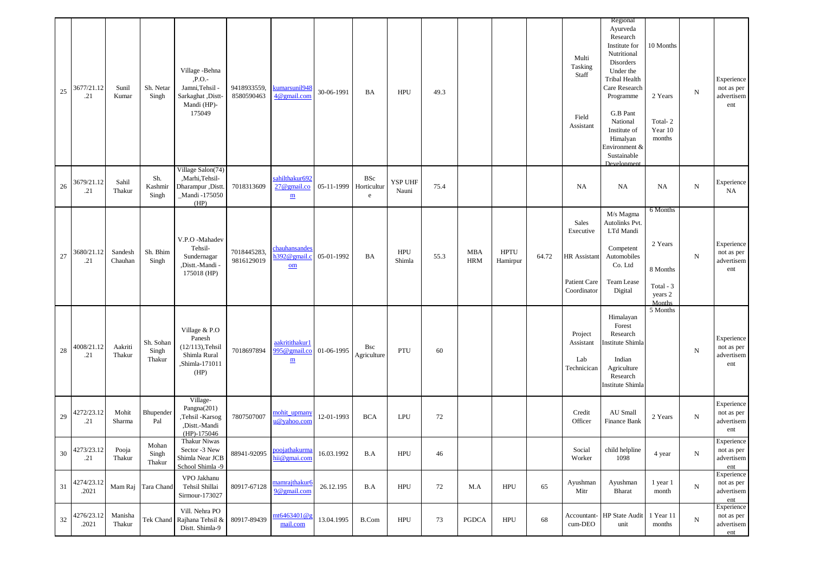| 25 | 3677/21.12<br>.21   | Sunil<br>Kumar     | Sh. Netar<br>Singh           | Village - Behna<br>,P.O.-<br>Jamni, Tehsil -<br>Sarkaghat , Distt-<br>Mandi (HP)-<br>175049 | 9418933559,<br>8580590463 | kumarsunil948<br>4@gmail.com                                 | 30-06-1991 | BA                             | <b>HPU</b>           | 49.3 |                          |                         |       | Multi<br>Tasking<br>Staff<br>Field<br>Assistant                          | Regional<br>Ayurveda<br>Research<br>Institute for<br>Nutritional<br>Disorders<br>Under the<br><b>Tribal Health</b><br>Care Research<br>Programme<br>G.B Pant<br>National<br>Institute of<br>Himalyan<br>Environment &<br>Sustainable<br>Development | 10 Months<br>2 Years<br>Total-2<br>Year 10<br>months              | ${\bf N}$  | Experience<br>not as per<br>advertisem<br>ent |
|----|---------------------|--------------------|------------------------------|---------------------------------------------------------------------------------------------|---------------------------|--------------------------------------------------------------|------------|--------------------------------|----------------------|------|--------------------------|-------------------------|-------|--------------------------------------------------------------------------|-----------------------------------------------------------------------------------------------------------------------------------------------------------------------------------------------------------------------------------------------------|-------------------------------------------------------------------|------------|-----------------------------------------------|
| 26 | 3679/21.12<br>.21   | Sahil<br>Thakur    | Sh.<br>Kashmir<br>Singh      | Village Salon(74)<br>,Marhi,Tehsil-<br>Dharampur ,Distt<br>_Mandi -175050<br>(HP)           | 7018313609                | sahilthakur692<br>$27@$ gmail.co<br>$\underline{\textbf{m}}$ | 05-11-1999 | <b>BSc</b><br>Horticultur<br>e | YSP UHF<br>Nauni     | 75.4 |                          |                         |       | NA                                                                       | <b>NA</b>                                                                                                                                                                                                                                           | <b>NA</b>                                                         | $_{\rm N}$ | Experience<br>NA                              |
| 27 | 3680/21.12<br>.21   | Sandesh<br>Chauhan | Sh. Bhim<br>Singh            | V.P.O -Mahadev<br>Tehsil-<br>Sundernagar<br>,Distt.-Mandi -<br>175018 (HP)                  | 7018445283,<br>9816129019 | chauhansandes<br>$1392$ @gmail.c<br>$om$                     | 05-01-1992 | BA                             | <b>HPU</b><br>Shimla | 55.3 | <b>MBA</b><br><b>HRM</b> | <b>HPTU</b><br>Hamirpur | 64.72 | Sales<br>Executive<br><b>HR</b> Assistant<br>Patient Care<br>Coordinator | M/s Magma<br>Autolinks Pvt.<br>LTd Mandi<br>Competent<br>Automobiles<br>Co. Ltd<br>Team Lease<br>Digital                                                                                                                                            | 6 Months<br>2 Years<br>8 Months<br>Total - 3<br>years 2<br>Months | ${\bf N}$  | Experience<br>not as per<br>advertisem<br>ent |
| 28 | 4008/21.12<br>.21   | Aakriti<br>Thakur  | Sh. Sohan<br>Singh<br>Thakur | Village & P.O<br>Panesh<br>$(12/113)$ , Tehsil<br>Shimla Rural<br>,Shimla-171011<br>(HP)    | 7018697894                | aakritithakur1<br>995@gmail.co<br>$\underline{\textbf{m}}$   | 01-06-1995 | <b>Bsc</b><br>Agriculture      | PTU                  | 60   |                          |                         |       | Project<br>Assistant<br>Lab<br>Technicican                               | Himalayan<br>Forest<br>Research<br>nstitute Shimla<br>Indian<br>Agriculture<br>Research<br><b>Institute Shimla</b>                                                                                                                                  | 5 Months                                                          | ${\bf N}$  | Experience<br>not as per<br>advertisem<br>ent |
| 29 | 4272/23.12<br>.21   | Mohit<br>Sharma    | Bhupender<br>Pal             | Village-<br>Pangna(201)<br>,Tehsil -Karsog<br>,Distt.-Mandi<br>$(HP) - 175046$              | 7807507007                | mohit_upmany<br>u@yahoo.com                                  | 12-01-1993 | <b>BCA</b>                     | <b>LPU</b>           | 72   |                          |                         |       | Credit<br>Officer                                                        | AU Small<br>Finance Bank                                                                                                                                                                                                                            | 2 Years                                                           | ${\bf N}$  | Experience<br>not as per<br>advertisem<br>ent |
| 30 | 4273/23.12<br>.21   | Pooja<br>Thakur    | Mohan<br>Singh<br>Thakur     | Thakur Niwas<br>Sector -3 New<br>Shimla Near JCB<br>School Shimla -9                        |                           | 88941-92095 <u>Purgamman Miller</u>                          | 16.03.1992 | B.A                            | HPU                  | 46   |                          |                         |       | Social<br>Worker                                                         | child helpline<br>1098                                                                                                                                                                                                                              | 4 year                                                            | N          | Experience<br>not as per<br>advertisem<br>ent |
| 31 | 4274/23.12<br>.2021 |                    | Mam Raj Tara Chand           | VPO Jakhanu<br>Tehsil Shillai<br>Sirmour-173027                                             | 80917-67128               | mamrajthakur6<br>9@gmail.com                                 | 26.12.195  | B.A                            | HPU                  | 72   | M.A                      | <b>HPU</b>              | 65    | Ayushman<br>Mitr                                                         | Ayushman<br>Bharat                                                                                                                                                                                                                                  | 1 year 1<br>month                                                 | ${\bf N}$  | Experience<br>not as per<br>advertisem<br>ent |
| 32 | 4276/23.12<br>.2021 | Manisha<br>Thakur  |                              | Vill. Nehra PO<br>Tek Chand Rajhana Tehsil &<br>Distt. Shimla-9                             | 80917-89439               | nt6463401@g<br>mail.com                                      | 13.04.1995 | B.Com                          | <b>HPU</b>           | 73   | PGDCA                    | HPU                     | 68    | Accountant-<br>cum-DEO                                                   | <b>HP</b> State Audit<br>unit                                                                                                                                                                                                                       | 1 Year 11<br>months                                               | ${\bf N}$  | Experience<br>not as per<br>advertisem<br>ent |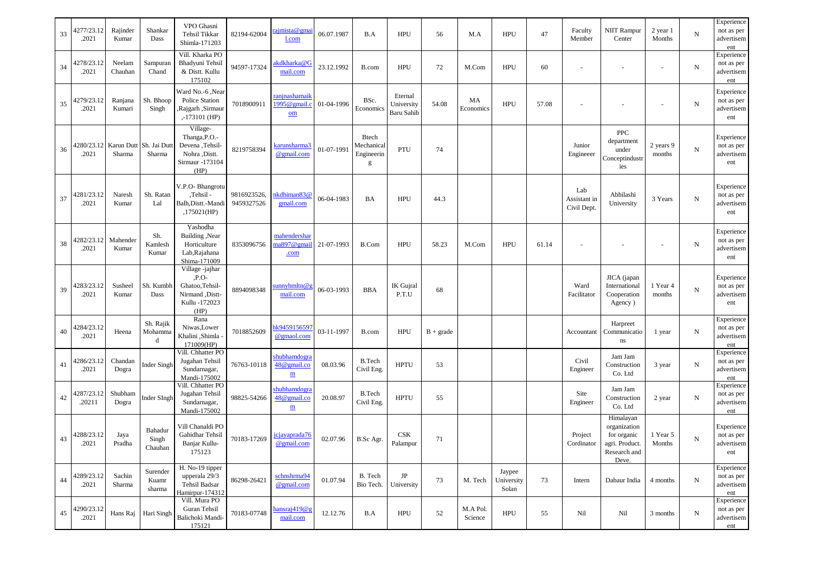| 33 | 4277/23.12<br>.2021  | Rajinder<br>Kumar | Shankar<br>Dass                   | VPO Ghasni<br>Tehsil Tikkar<br>Shimla-171203                                               | 82194-62004               | ajmista@gmai<br>1.com                                   | 06.07.1987 | B.A                                           | <b>HPU</b>                                 | 56          | M.A                 | <b>HPU</b>                    | 47    | Faculty<br>Member                  | NIIT Rampur<br>Center                                                               | 2 year 1<br>Months  | ${\bf N}$  | Experience<br>not as per<br>advertisem<br>ent |
|----|----------------------|-------------------|-----------------------------------|--------------------------------------------------------------------------------------------|---------------------------|---------------------------------------------------------|------------|-----------------------------------------------|--------------------------------------------|-------------|---------------------|-------------------------------|-------|------------------------------------|-------------------------------------------------------------------------------------|---------------------|------------|-----------------------------------------------|
| 34 | 4278/23.12<br>.2021  | Neelam<br>Chauhan | Sampuran<br>Chand                 | Vill. Kharka PO<br>Bhadyuni Tehsil<br>& Distt. Kullu<br>175102                             | 94597-17324               | akdkharka@G<br>mail.com                                 | 23.12.1992 | B.com                                         | <b>HPU</b>                                 | 72          | M.Com               | <b>HPU</b>                    | 60    | $\sim$                             |                                                                                     |                     | ${\bf N}$  | Experience<br>not as per<br>advertisem<br>ent |
| 35 | 4279/23.12<br>.2021  | Ranjana<br>Kumari | Sh. Bhoop<br>Singh                | Ward No.-6, Near<br>Police Station<br>,Rajgarh, Sirmaur<br>$, -173101$ (HP)                | 7018900911                | ranjnashamaik<br>1995@gmail.c<br>$om$                   | 01-04-1996 | BSc.<br>Economic                              | Eternal<br>University<br><b>Baru Sahib</b> | 54.08       | MA<br>Economics     | HPU                           | 57.08 |                                    |                                                                                     |                     | ${\rm N}$  | Experience<br>not as per<br>advertisem<br>ent |
| 36 | 1280/23.12<br>.2021  | Sharma            | Karun Dutt Sh. Jai Dutt<br>Sharma | Village-<br>Thanga, P.O.-<br>Devena, Tehsil-<br>Nohra .Distt.<br>Sirmaur -173104<br>(HP)   | 8219758394                | karunsharma3<br>@gmail.com                              | 01-07-1991 | <b>Btech</b><br>Mechanical<br>Engineerin<br>g | PTU                                        | 74          |                     |                               |       | Junior<br>Engineeer                | <b>PPC</b><br>department<br>under<br>Conceptindustr<br>ies                          | 2 years 9<br>months | ${\bf N}$  | Experience<br>not as per<br>advertisem<br>ent |
| 37 | 4281/23.12<br>.2021  | Naresh<br>Kumar   | Sh. Ratan<br>Lal                  | V.P.O- Bhangrotu<br>,Tehsil<br>Balh, Distt.-Mandi<br>,175021(HP)                           | 9816923526,<br>9459327526 | nkdhiman83@<br>gmail.com                                | 06-04-1983 | <b>BA</b>                                     | <b>HPU</b>                                 | 44.3        |                     |                               |       | Lab<br>Assistant in<br>Civil Dept. | Abhilashi<br>University                                                             | 3 Years             | ${\bf N}$  | Experience<br>not as per<br>advertisem<br>ent |
| 38 | 1282/23.12<br>.2021  | Mahender<br>Kumar | Sh.<br>Kamlesh<br>Kumar           | Yashodha<br>Building, Near<br>Horticulture<br>Lab, Rajahana<br>Shima-171009                | 8353096756                | mahendershar<br>ma897@gmail 21-07-1993<br>.com          |            | B.Com                                         | <b>HPU</b>                                 | 58.23       | M.Com               | HPU                           | 61.14 |                                    |                                                                                     |                     | ${\rm N}$  | Experience<br>not as per<br>advertisem<br>ent |
| 39 | 4283/23.12<br>.2021  | Susheel<br>Kumar  | Sh. Kumbh<br>Dass                 | Village -jajhar<br>$, P.O-$<br>Ghatoo, Tehsil-<br>Nirmand, Distt-<br>Kullu -172023<br>(HP) | 8894098348                | sumryhmltn@g<br>mail.com                                | 06-03-1993 | <b>BBA</b>                                    | IK Gujral<br>P.T.U                         | 68          |                     |                               |       | Ward<br>Facilitator                | JICA (japan<br>International<br>Cooperation<br>Agency)                              | 1 Year 4<br>months  | ${\bf N}$  | Experience<br>not as per<br>advertisem<br>ent |
| 40 | 4284/23.12<br>.2021  | Heena             | Sh. Rajik<br>Mohamma<br>d         | Rana<br>Niwas, Lower<br>Khalini ,Shimla -<br>171009(HP)                                    | 7018852609                | k9459156597<br>@gmaol.com                               | 03-11-1997 | B.com                                         | <b>HPU</b>                                 | $B + grade$ |                     |                               |       | Accountant                         | Harpreet<br>Communicatio<br>$\rm ns$                                                | 1 year              | ${\bf N}$  | Experience<br>not as per<br>advertisem<br>ent |
| 41 | 4286/23.12<br>.2021  | Chandan<br>Dogra  | <b>Inder Singh</b>                | Vill. Chhatter PO<br>Jugahan Tehsil<br>Sundarnagar,<br>Mandi-175002                        | 76763-10118               | shubhamdogra<br>48@gmail.co<br>$\underline{\textbf{m}}$ | 08.03.96   | <b>B.Tech</b><br>Civil Eng.                   | <b>HPTU</b>                                | 53          |                     |                               |       | Civil<br>Engineer                  | Jam Jam<br>Construction<br>Co. Ltd                                                  | 3 year              | ${\bf N}$  | Experience<br>not as per<br>advertisem<br>ent |
| 42 | 1287/23.12<br>.20211 | Shubham<br>Dogra  | <b>Inder SIngh</b>                | Vill. Chhatter PO<br>Jugahan Tehsil<br>Sundarnagar,<br>Mandi-175002                        | 98825-54266               | shubhamdogra<br>48@gmail.co<br>$\underline{\textbf{m}}$ | 20.08.97   | <b>B.Tech</b><br>Civil Eng.                   | <b>HPTU</b>                                | 55          |                     |                               |       | Site<br>Engineer                   | Jam Jam<br>Construction<br>Co. Ltd                                                  | 2 year              | ${\bf N}$  | Experience<br>not as per<br>advertisem<br>ent |
| 43 | 4288/23.12<br>.2021  | Jaya<br>Pradha    | Bahadur<br>Singh<br>Chauhan       | Vill Chanaldi PO<br>Gahidhar Tehsil<br>Banjar Kullu-<br>175123                             | 70183-17269               | jcjayaprada76<br>@gmail.com                             | 02.07.96   | B.Sc Agr.                                     | <b>CSK</b><br>Palampur                     | 71          |                     |                               |       | Project<br>Cordinator              | Himalayan<br>organization<br>for organic<br>agri. Product.<br>Research and<br>Deve. | 1 Year 5<br>Months  | ${\bf N}$  | Experience<br>not as per<br>advertisem<br>ent |
| 44 | 4289/23.12<br>.2021  | Sachin<br>Sharma  | Surender<br>Kuamr<br>sharma       | H. No-19 tipper<br>upperala 29/3<br>Tehsil Badsar<br>Hamirpur-174312                       | 86298-26421               | schnshrma94<br>@gmail.com                               | 01.07.94   | B. Tech<br>Bio Tech.                          | JP<br>University                           | 73          | M. Tech             | Jaypee<br>University<br>Solan | 73    | Intern                             | Dabaur India                                                                        | 4 months            | $_{\rm N}$ | Experience<br>not as per<br>advertisem<br>ent |
| 45 | 4290/23.12<br>.2021  | Hans Raj          | Hari Singh                        | Vill. Mura PO<br>Guran Tehsil<br>Balichoki Mandi-<br>175121                                | 70183-07748               | hansraj419@g<br>mail.com                                | 12.12.76   | B.A                                           | HPU                                        | 52          | M.A Pol.<br>Science | <b>HPU</b>                    | 55    | Nil                                | Nil                                                                                 | 3 months            | ${\bf N}$  | Experience<br>not as per<br>advertisem<br>ent |